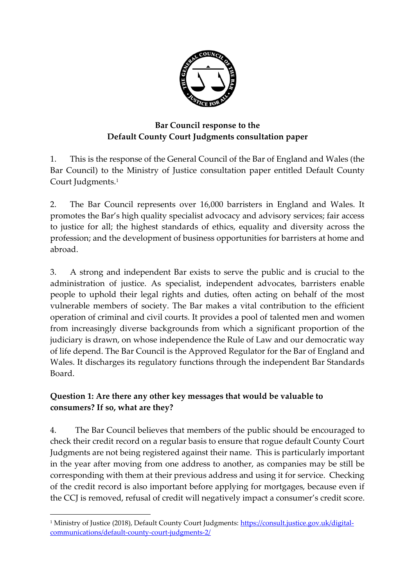

### **Bar Council response to the Default County Court Judgments consultation paper**

1. This is the response of the General Council of the Bar of England and Wales (the Bar Council) to the Ministry of Justice consultation paper entitled Default County Court Judgments. 1

2. The Bar Council represents over 16,000 barristers in England and Wales. It promotes the Bar's high quality specialist advocacy and advisory services; fair access to justice for all; the highest standards of ethics, equality and diversity across the profession; and the development of business opportunities for barristers at home and abroad.

3. A strong and independent Bar exists to serve the public and is crucial to the administration of justice. As specialist, independent advocates, barristers enable people to uphold their legal rights and duties, often acting on behalf of the most vulnerable members of society. The Bar makes a vital contribution to the efficient operation of criminal and civil courts. It provides a pool of talented men and women from increasingly diverse backgrounds from which a significant proportion of the judiciary is drawn, on whose independence the Rule of Law and our democratic way of life depend. The Bar Council is the Approved Regulator for the Bar of England and Wales. It discharges its regulatory functions through the independent Bar Standards Board.

#### **Question 1: Are there any other key messages that would be valuable to consumers? If so, what are they?**

4. The Bar Council believes that members of the public should be encouraged to check their credit record on a regular basis to ensure that rogue default County Court Judgments are not being registered against their name. This is particularly important in the year after moving from one address to another, as companies may be still be corresponding with them at their previous address and using it for service. Checking of the credit record is also important before applying for mortgages, because even if the CCJ is removed, refusal of credit will negatively impact a consumer's credit score.

**.** 

<sup>1</sup> Ministry of Justice (2018), Default County Court Judgments: [https://consult.justice.gov.uk/digital](https://consult.justice.gov.uk/digital-communications/default-county-court-judgments-2/)[communications/default-county-court-judgments-2/](https://consult.justice.gov.uk/digital-communications/default-county-court-judgments-2/)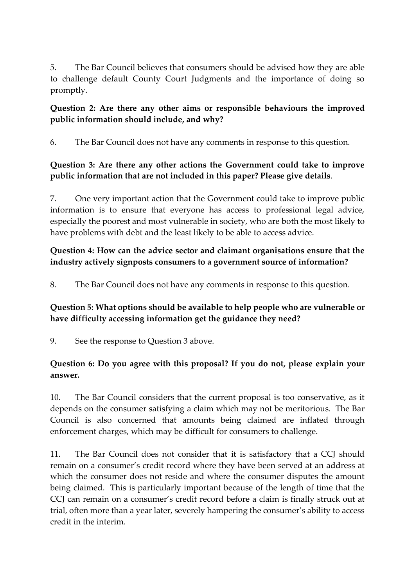5. The Bar Council believes that consumers should be advised how they are able to challenge default County Court Judgments and the importance of doing so promptly.

#### **Question 2: Are there any other aims or responsible behaviours the improved public information should include, and why?**

6. The Bar Council does not have any comments in response to this question.

# **Question 3: Are there any other actions the Government could take to improve public information that are not included in this paper? Please give details**.

7. One very important action that the Government could take to improve public information is to ensure that everyone has access to professional legal advice, especially the poorest and most vulnerable in society, who are both the most likely to have problems with debt and the least likely to be able to access advice.

# **Question 4: How can the advice sector and claimant organisations ensure that the industry actively signposts consumers to a government source of information?**

8. The Bar Council does not have any comments in response to this question.

# **Question 5: What options should be available to help people who are vulnerable or have difficulty accessing information get the guidance they need?**

9. See the response to Question 3 above.

# **Question 6: Do you agree with this proposal? If you do not, please explain your answer.**

10. The Bar Council considers that the current proposal is too conservative, as it depends on the consumer satisfying a claim which may not be meritorious. The Bar Council is also concerned that amounts being claimed are inflated through enforcement charges, which may be difficult for consumers to challenge.

11. The Bar Council does not consider that it is satisfactory that a CCJ should remain on a consumer's credit record where they have been served at an address at which the consumer does not reside and where the consumer disputes the amount being claimed. This is particularly important because of the length of time that the CCJ can remain on a consumer's credit record before a claim is finally struck out at trial, often more than a year later, severely hampering the consumer's ability to access credit in the interim.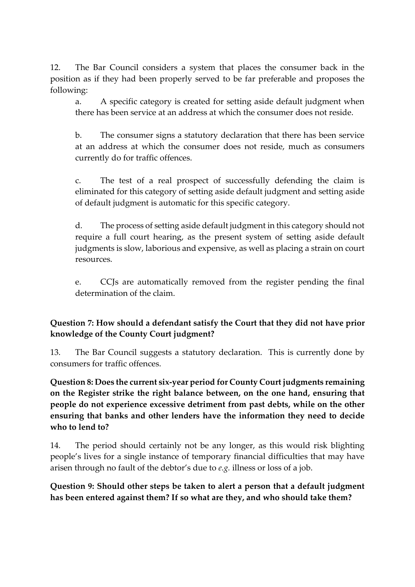12. The Bar Council considers a system that places the consumer back in the position as if they had been properly served to be far preferable and proposes the following:

a. A specific category is created for setting aside default judgment when there has been service at an address at which the consumer does not reside.

b. The consumer signs a statutory declaration that there has been service at an address at which the consumer does not reside, much as consumers currently do for traffic offences.

c. The test of a real prospect of successfully defending the claim is eliminated for this category of setting aside default judgment and setting aside of default judgment is automatic for this specific category.

d. The process of setting aside default judgment in this category should not require a full court hearing, as the present system of setting aside default judgments is slow, laborious and expensive, as well as placing a strain on court resources.

e. CCJs are automatically removed from the register pending the final determination of the claim.

#### **Question 7: How should a defendant satisfy the Court that they did not have prior knowledge of the County Court judgment?**

13. The Bar Council suggests a statutory declaration. This is currently done by consumers for traffic offences.

**Question 8: Does the current six-year period for County Court judgments remaining on the Register strike the right balance between, on the one hand, ensuring that people do not experience excessive detriment from past debts, while on the other ensuring that banks and other lenders have the information they need to decide who to lend to?** 

14. The period should certainly not be any longer, as this would risk blighting people's lives for a single instance of temporary financial difficulties that may have arisen through no fault of the debtor's due to *e.g.* illness or loss of a job.

**Question 9: Should other steps be taken to alert a person that a default judgment has been entered against them? If so what are they, and who should take them?**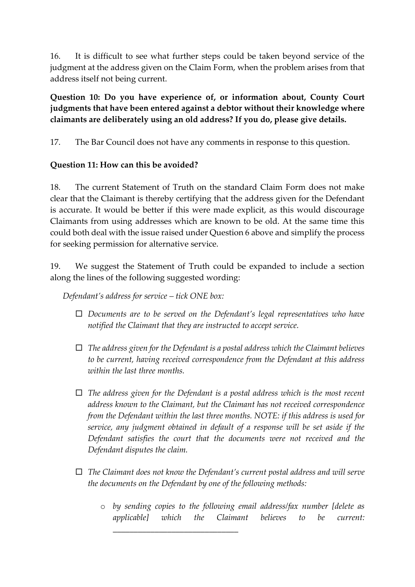16. It is difficult to see what further steps could be taken beyond service of the judgment at the address given on the Claim Form, when the problem arises from that address itself not being current.

**Question 10: Do you have experience of, or information about, County Court judgments that have been entered against a debtor without their knowledge where claimants are deliberately using an old address? If you do, please give details.** 

17. The Bar Council does not have any comments in response to this question.

#### **Question 11: How can this be avoided?**

18. The current Statement of Truth on the standard Claim Form does not make clear that the Claimant is thereby certifying that the address given for the Defendant is accurate. It would be better if this were made explicit, as this would discourage Claimants from using addresses which are known to be old. At the same time this could both deal with the issue raised under Question 6 above and simplify the process for seeking permission for alternative service.

19. We suggest the Statement of Truth could be expanded to include a section along the lines of the following suggested wording:

*Defendant's address for service – tick ONE box:*

- *Documents are to be served on the Defendant's legal representatives who have notified the Claimant that they are instructed to accept service.*
- *The address given for the Defendant is a postal address which the Claimant believes to be current, having received correspondence from the Defendant at this address within the last three months.*
- *The address given for the Defendant is a postal address which is the most recent address known to the Claimant, but the Claimant has not received correspondence from the Defendant within the last three months. NOTE: if this address is used for service, any judgment obtained in default of a response will be set aside if the Defendant satisfies the court that the documents were not received and the Defendant disputes the claim.*
- *The Claimant does not know the Defendant's current postal address and will serve the documents on the Defendant by one of the following methods:*

*\_\_\_\_\_\_\_\_\_\_\_\_\_\_\_\_\_\_\_\_\_\_\_\_\_\_\_\_\_\_*

o *by sending copies to the following email address/fax number [delete as applicable] which the Claimant believes to be current:*